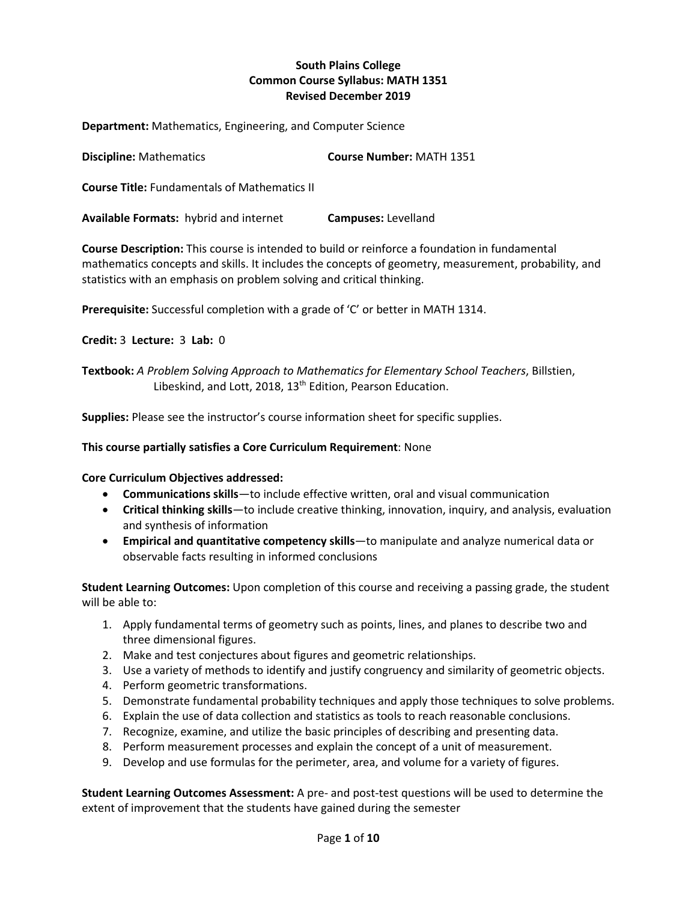## **South Plains College Common Course Syllabus: MATH 1351 Revised December 2019**

**Department:** Mathematics, Engineering, and Computer Science

| <b>Course Number: MATH 1351</b> |
|---------------------------------|
|                                 |

**Course Title:** Fundamentals of Mathematics II

**Available Formats:** hybrid and internet **Campuses:** Levelland

**Course Description:** This course is intended to build or reinforce a foundation in fundamental mathematics concepts and skills. It includes the concepts of geometry, measurement, probability, and statistics with an emphasis on problem solving and critical thinking.

**Prerequisite:** Successful completion with a grade of 'C' or better in MATH 1314.

**Credit:** 3 **Lecture:** 3 **Lab:** 0

**Textbook:** *A Problem Solving Approach to Mathematics for Elementary School Teachers*, Billstien, Libeskind, and Lott, 2018, 13<sup>th</sup> Edition, Pearson Education.

**Supplies:** Please see the instructor's course information sheet for specific supplies.

#### **This course partially satisfies a Core Curriculum Requirement**: None

#### **Core Curriculum Objectives addressed:**

- **Communications skills**—to include effective written, oral and visual communication
- **Critical thinking skills**—to include creative thinking, innovation, inquiry, and analysis, evaluation and synthesis of information
- **Empirical and quantitative competency skills**—to manipulate and analyze numerical data or observable facts resulting in informed conclusions

**Student Learning Outcomes:** Upon completion of this course and receiving a passing grade, the student will be able to:

- 1. Apply fundamental terms of geometry such as points, lines, and planes to describe two and three dimensional figures.
- 2. Make and test conjectures about figures and geometric relationships.
- 3. Use a variety of methods to identify and justify congruency and similarity of geometric objects.
- 4. Perform geometric transformations.
- 5. Demonstrate fundamental probability techniques and apply those techniques to solve problems.
- 6. Explain the use of data collection and statistics as tools to reach reasonable conclusions.
- 7. Recognize, examine, and utilize the basic principles of describing and presenting data.
- 8. Perform measurement processes and explain the concept of a unit of measurement.
- 9. Develop and use formulas for the perimeter, area, and volume for a variety of figures.

**Student Learning Outcomes Assessment:** A pre- and post-test questions will be used to determine the extent of improvement that the students have gained during the semester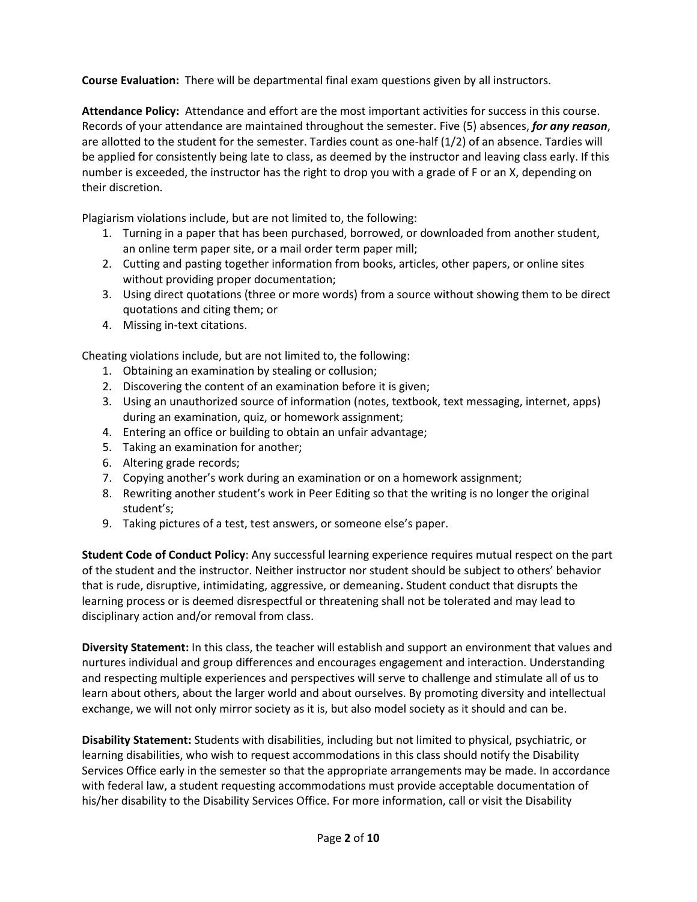**Course Evaluation:** There will be departmental final exam questions given by all instructors.

**Attendance Policy:** Attendance and effort are the most important activities for success in this course. Records of your attendance are maintained throughout the semester. Five (5) absences, *for any reason*, are allotted to the student for the semester. Tardies count as one-half (1/2) of an absence. Tardies will be applied for consistently being late to class, as deemed by the instructor and leaving class early. If this number is exceeded, the instructor has the right to drop you with a grade of F or an X, depending on their discretion.

Plagiarism violations include, but are not limited to, the following:

- 1. Turning in a paper that has been purchased, borrowed, or downloaded from another student, an online term paper site, or a mail order term paper mill;
- 2. Cutting and pasting together information from books, articles, other papers, or online sites without providing proper documentation;
- 3. Using direct quotations (three or more words) from a source without showing them to be direct quotations and citing them; or
- 4. Missing in-text citations.

Cheating violations include, but are not limited to, the following:

- 1. Obtaining an examination by stealing or collusion;
- 2. Discovering the content of an examination before it is given;
- 3. Using an unauthorized source of information (notes, textbook, text messaging, internet, apps) during an examination, quiz, or homework assignment;
- 4. Entering an office or building to obtain an unfair advantage;
- 5. Taking an examination for another;
- 6. Altering grade records;
- 7. Copying another's work during an examination or on a homework assignment;
- 8. Rewriting another student's work in Peer Editing so that the writing is no longer the original student's;
- 9. Taking pictures of a test, test answers, or someone else's paper.

**Student Code of Conduct Policy**: Any successful learning experience requires mutual respect on the part of the student and the instructor. Neither instructor nor student should be subject to others' behavior that is rude, disruptive, intimidating, aggressive, or demeaning**.** Student conduct that disrupts the learning process or is deemed disrespectful or threatening shall not be tolerated and may lead to disciplinary action and/or removal from class.

**Diversity Statement:** In this class, the teacher will establish and support an environment that values and nurtures individual and group differences and encourages engagement and interaction. Understanding and respecting multiple experiences and perspectives will serve to challenge and stimulate all of us to learn about others, about the larger world and about ourselves. By promoting diversity and intellectual exchange, we will not only mirror society as it is, but also model society as it should and can be.

**Disability Statement:** Students with disabilities, including but not limited to physical, psychiatric, or learning disabilities, who wish to request accommodations in this class should notify the Disability Services Office early in the semester so that the appropriate arrangements may be made. In accordance with federal law, a student requesting accommodations must provide acceptable documentation of his/her disability to the Disability Services Office. For more information, call or visit the Disability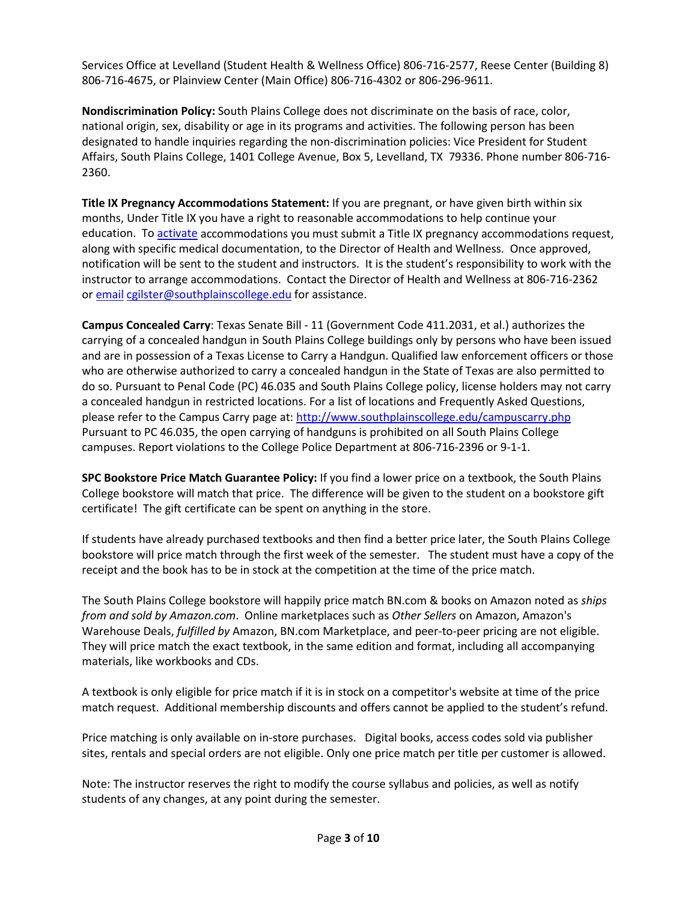Services Office at Levelland (Student Health & Wellness Office) 806-716-2577, Reese Center (Building 8) 806-716-4675, or Plainview Center (Main Office) 806-716-4302 or 806-296-9611.

**Nondiscrimination Policy:** South Plains College does not discriminate on the basis of race, color, national origin, sex, disability or age in its programs and activities. The following person has been designated to handle inquiries regarding the non-discrimination policies: Vice President for Student Affairs, South Plains College, 1401 College Avenue, Box 5, Levelland, TX 79336. Phone number 806-716- 2360.

**Title IX Pregnancy Accommodations Statement:** If you are pregnant, or have given birth within six months, Under Title IX you have a right to reasonable accommodations to help continue your education. To [activate](http://www.southplainscollege.edu/employees/manualshandbooks/facultyhandbook/sec4.php) accommodations you must submit a Title IX pregnancy accommodations request, along with specific medical documentation, to the Director of Health and Wellness. Once approved, notification will be sent to the student and instructors. It is the student's responsibility to work with the instructor to arrange accommodations. Contact the Director of Health and Wellness at 806-716-2362 or [email](http://www.southplainscollege.edu/employees/manualshandbooks/facultyhandbook/sec4.php) [cgilster@southplainscollege.edu](mailto:cgilster@southplainscollege.edu) for assistance.

**Campus Concealed Carry**: Texas Senate Bill - 11 (Government Code 411.2031, et al.) authorizes the carrying of a concealed handgun in South Plains College buildings only by persons who have been issued and are in possession of a Texas License to Carry a Handgun. Qualified law enforcement officers or those who are otherwise authorized to carry a concealed handgun in the State of Texas are also permitted to do so. Pursuant to Penal Code (PC) 46.035 and South Plains College policy, license holders may not carry a concealed handgun in restricted locations. For a list of locations and Frequently Asked Questions, please refer to the Campus Carry page at: <http://www.southplainscollege.edu/campuscarry.php> Pursuant to PC 46.035, the open carrying of handguns is prohibited on all South Plains College campuses. Report violations to the College Police Department at 806-716-2396 or 9-1-1.

**SPC Bookstore Price Match Guarantee Policy:** If you find a lower price on a textbook, the South Plains College bookstore will match that price. The difference will be given to the student on a bookstore gift certificate! The gift certificate can be spent on anything in the store.

If students have already purchased textbooks and then find a better price later, the South Plains College bookstore will price match through the first week of the semester. The student must have a copy of the receipt and the book has to be in stock at the competition at the time of the price match.

The South Plains College bookstore will happily price match BN.com & books on Amazon noted as *ships from and sold by Amazon.com*. Online marketplaces such as *Other Sellers* on Amazon, Amazon's Warehouse Deals, *fulfilled by* Amazon, BN.com Marketplace, and peer-to-peer pricing are not eligible. They will price match the exact textbook, in the same edition and format, including all accompanying materials, like workbooks and CDs.

A textbook is only eligible for price match if it is in stock on a competitor's website at time of the price match request. Additional membership discounts and offers cannot be applied to the student's refund.

Price matching is only available on in-store purchases. Digital books, access codes sold via publisher sites, rentals and special orders are not eligible. Only one price match per title per customer is allowed.

Note: The instructor reserves the right to modify the course syllabus and policies, as well as notify students of any changes, at any point during the semester.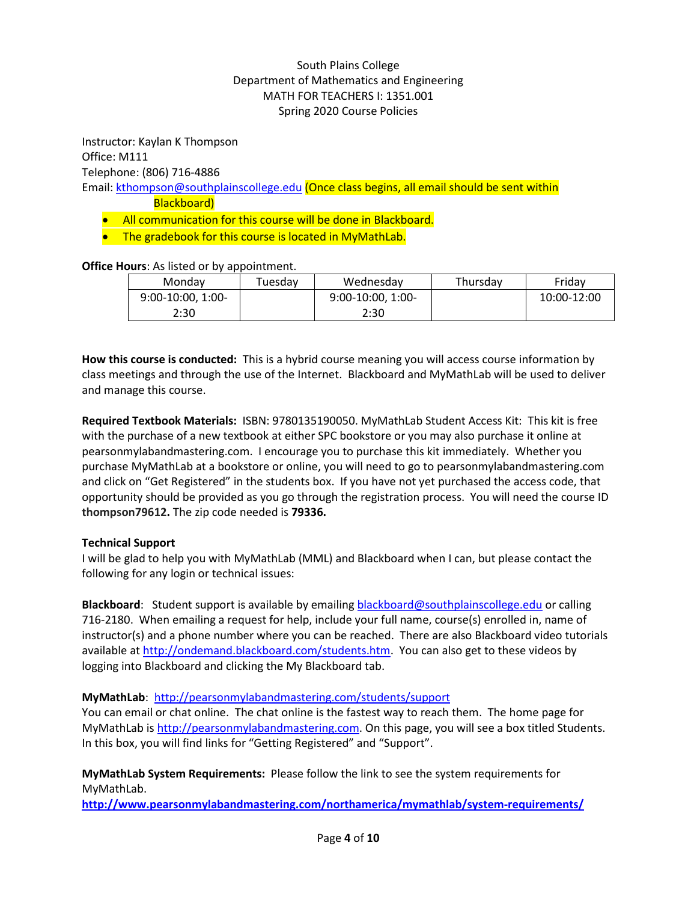# South Plains College Department of Mathematics and Engineering MATH FOR TEACHERS I: 1351.001 Spring 2020 Course Policies

Instructor: Kaylan K Thompson Office: M111 Telephone: (806) 716-4886

Email: [kthompson@southplainscollege.edu](mailto:kthompson@southplainscollege.edu) (Once class begins, all email should be sent within Blackboard)

- All communication for this course will be done in Blackboard.
- The gradebook for this course is located in MyMathLab.

**Office Hours**: As listed or by appointment.

| Mondav              | Tuesdav | Wednesday           | Thursdav | Fridav      |
|---------------------|---------|---------------------|----------|-------------|
| $9:00-10:00, 1:00-$ |         | $9:00-10:00, 1:00-$ |          | 10:00-12:00 |
| 2:30                |         | 2:30                |          |             |

**How this course is conducted:** This is a hybrid course meaning you will access course information by class meetings and through the use of the Internet. Blackboard and MyMathLab will be used to deliver and manage this course.

**Required Textbook Materials:** ISBN: 9780135190050. MyMathLab Student Access Kit: This kit is free with the purchase of a new textbook at either SPC bookstore or you may also purchase it online at pearsonmylabandmastering.com. I encourage you to purchase this kit immediately. Whether you purchase MyMathLab at a bookstore or online, you will need to go to pearsonmylabandmastering.com and click on "Get Registered" in the students box. If you have not yet purchased the access code, that opportunity should be provided as you go through the registration process. You will need the course ID **thompson79612.** The zip code needed is **79336.**

# **Technical Support**

I will be glad to help you with MyMathLab (MML) and Blackboard when I can, but please contact the following for any login or technical issues:

**Blackboard**: Student support is available by emailing [blackboard@southplainscollege.edu](mailto:blackboard@southplainscollege.edu) or calling 716-2180. When emailing a request for help, include your full name, course(s) enrolled in, name of instructor(s) and a phone number where you can be reached. There are also Blackboard video tutorials available a[t http://ondemand.blackboard.com/students.htm.](http://ondemand.blackboard.com/students.htm) You can also get to these videos by logging into Blackboard and clicking the My Blackboard tab.

### **MyMathLab**:<http://pearsonmylabandmastering.com/students/support>

You can email or chat online. The chat online is the fastest way to reach them. The home page for MyMathLab is [http://pearsonmylabandmastering.com.](http://pearsonmylabandmastering.com/) On this page, you will see a box titled Students. In this box, you will find links for "Getting Registered" and "Support".

**MyMathLab System Requirements:** Please follow the link to see the system requirements for MyMathLab.

**<http://www.pearsonmylabandmastering.com/northamerica/mymathlab/system-requirements/>**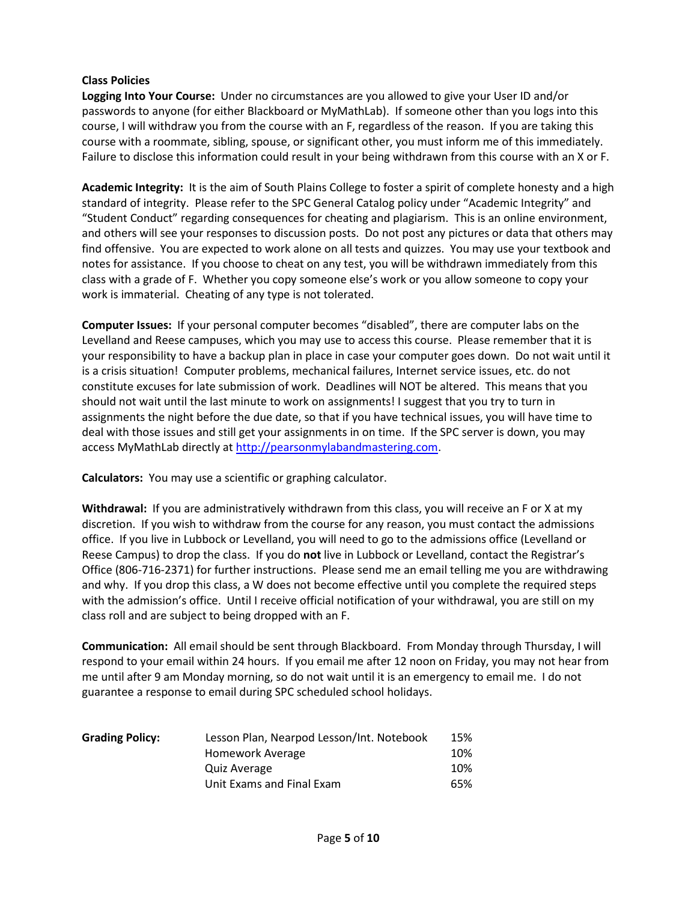### **Class Policies**

**Logging Into Your Course:** Under no circumstances are you allowed to give your User ID and/or passwords to anyone (for either Blackboard or MyMathLab). If someone other than you logs into this course, I will withdraw you from the course with an F, regardless of the reason. If you are taking this course with a roommate, sibling, spouse, or significant other, you must inform me of this immediately. Failure to disclose this information could result in your being withdrawn from this course with an X or F.

**Academic Integrity:** It is the aim of South Plains College to foster a spirit of complete honesty and a high standard of integrity. Please refer to the SPC General Catalog policy under "Academic Integrity" and "Student Conduct" regarding consequences for cheating and plagiarism. This is an online environment, and others will see your responses to discussion posts. Do not post any pictures or data that others may find offensive. You are expected to work alone on all tests and quizzes. You may use your textbook and notes for assistance. If you choose to cheat on any test, you will be withdrawn immediately from this class with a grade of F. Whether you copy someone else's work or you allow someone to copy your work is immaterial. Cheating of any type is not tolerated.

**Computer Issues:** If your personal computer becomes "disabled", there are computer labs on the Levelland and Reese campuses, which you may use to access this course. Please remember that it is your responsibility to have a backup plan in place in case your computer goes down. Do not wait until it is a crisis situation! Computer problems, mechanical failures, Internet service issues, etc. do not constitute excuses for late submission of work. Deadlines will NOT be altered. This means that you should not wait until the last minute to work on assignments! I suggest that you try to turn in assignments the night before the due date, so that if you have technical issues, you will have time to deal with those issues and still get your assignments in on time. If the SPC server is down, you may access MyMathLab directly at [http://pearsonmylabandmastering.com.](http://pearsonmylabandmastering.com/)

**Calculators:** You may use a scientific or graphing calculator.

**Withdrawal:** If you are administratively withdrawn from this class, you will receive an F or X at my discretion. If you wish to withdraw from the course for any reason, you must contact the admissions office. If you live in Lubbock or Levelland, you will need to go to the admissions office (Levelland or Reese Campus) to drop the class. If you do **not** live in Lubbock or Levelland, contact the Registrar's Office (806-716-2371) for further instructions. Please send me an email telling me you are withdrawing and why. If you drop this class, a W does not become effective until you complete the required steps with the admission's office. Until I receive official notification of your withdrawal, you are still on my class roll and are subject to being dropped with an F.

**Communication:** All email should be sent through Blackboard. From Monday through Thursday, I will respond to your email within 24 hours. If you email me after 12 noon on Friday, you may not hear from me until after 9 am Monday morning, so do not wait until it is an emergency to email me. I do not guarantee a response to email during SPC scheduled school holidays.

| <b>Grading Policy:</b> | Lesson Plan, Nearpod Lesson/Int. Notebook | 15% |
|------------------------|-------------------------------------------|-----|
|                        | Homework Average                          | 10% |
|                        | Quiz Average                              | 10% |
|                        | Unit Exams and Final Exam                 | 65% |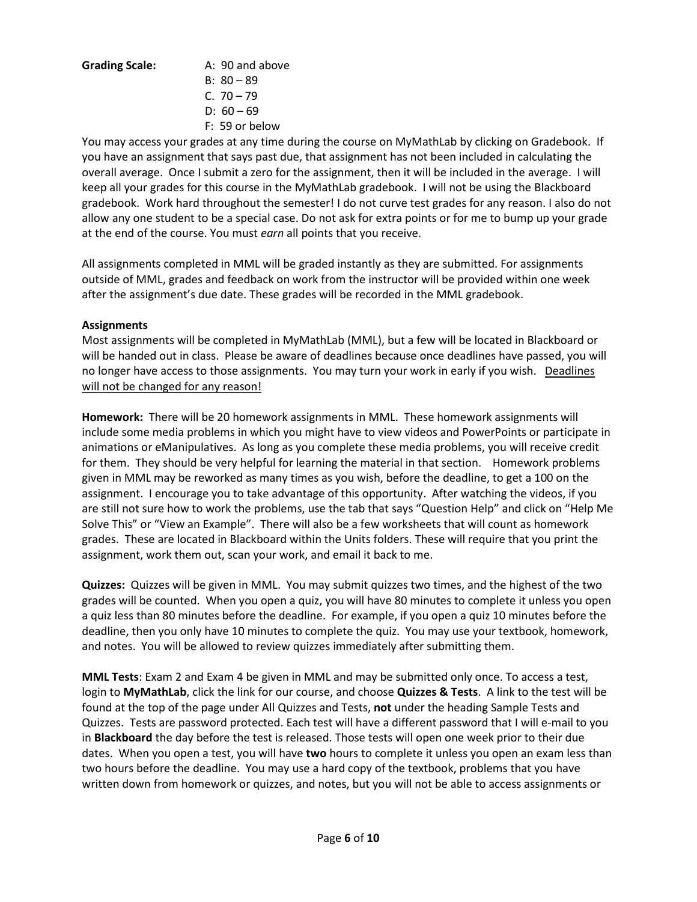**Grading Scale:** A: 90 and above

B:  $80 - 89$ C. 70 – 79 D:  $60 - 69$ F: 59 or below

You may access your grades at any time during the course on MyMathLab by clicking on Gradebook. If you have an assignment that says past due, that assignment has not been included in calculating the overall average. Once I submit a zero for the assignment, then it will be included in the average. I will keep all your grades for this course in the MyMathLab gradebook. I will not be using the Blackboard gradebook. Work hard throughout the semester! I do not curve test grades for any reason. I also do not allow any one student to be a special case. Do not ask for extra points or for me to bump up your grade at the end of the course. You must *earn* all points that you receive.

All assignments completed in MML will be graded instantly as they are submitted. For assignments outside of MML, grades and feedback on work from the instructor will be provided within one week after the assignment's due date. These grades will be recorded in the MML gradebook.

### **Assignments**

Most assignments will be completed in MyMathLab (MML), but a few will be located in Blackboard or will be handed out in class. Please be aware of deadlines because once deadlines have passed, you will no longer have access to those assignments. You may turn your work in early if you wish. Deadlines will not be changed for any reason!

**Homework:** There will be 20 homework assignments in MML. These homework assignments will include some media problems in which you might have to view videos and PowerPoints or participate in animations or eManipulatives. As long as you complete these media problems, you will receive credit for them. They should be very helpful for learning the material in that section. Homework problems given in MML may be reworked as many times as you wish, before the deadline, to get a 100 on the assignment. I encourage you to take advantage of this opportunity. After watching the videos, if you are still not sure how to work the problems, use the tab that says "Question Help" and click on "Help Me Solve This" or "View an Example". There will also be a few worksheets that will count as homework grades. These are located in Blackboard within the Units folders. These will require that you print the assignment, work them out, scan your work, and email it back to me.

**Quizzes:** Quizzes will be given in MML. You may submit quizzes two times, and the highest of the two grades will be counted. When you open a quiz, you will have 80 minutes to complete it unless you open a quiz less than 80 minutes before the deadline. For example, if you open a quiz 10 minutes before the deadline, then you only have 10 minutes to complete the quiz. You may use your textbook, homework, and notes. You will be allowed to review quizzes immediately after submitting them.

**MML Tests**: Exam 2 and Exam 4 be given in MML and may be submitted only once. To access a test, login to **MyMathLab**, click the link for our course, and choose **Quizzes & Tests**. A link to the test will be found at the top of the page under All Quizzes and Tests, **not** under the heading Sample Tests and Quizzes. Tests are password protected. Each test will have a different password that I will e-mail to you in **Blackboard** the day before the test is released. Those tests will open one week prior to their due dates. When you open a test, you will have **two** hours to complete it unless you open an exam less than two hours before the deadline. You may use a hard copy of the textbook, problems that you have written down from homework or quizzes, and notes, but you will not be able to access assignments or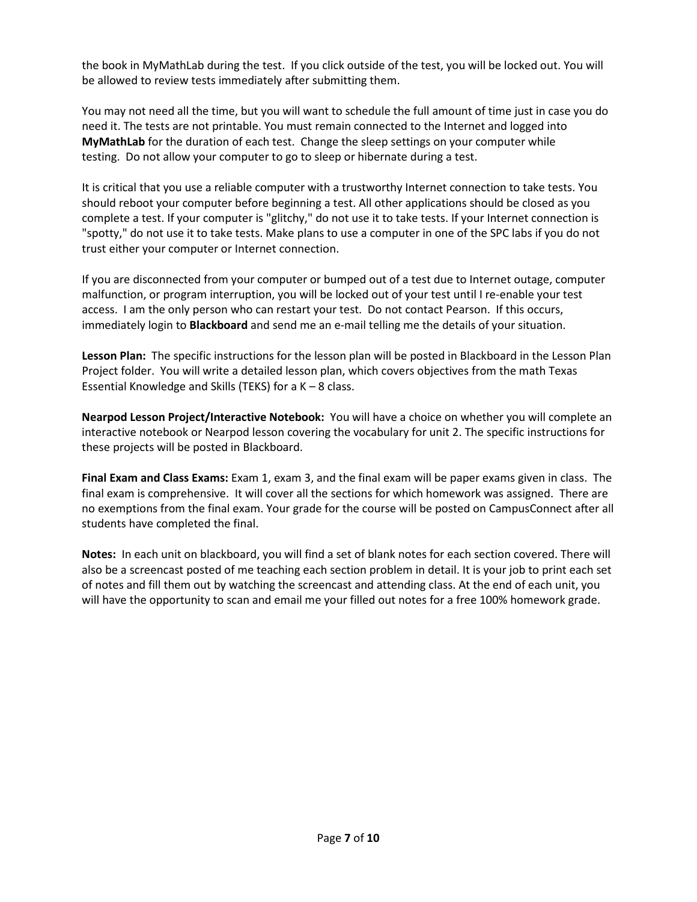the book in MyMathLab during the test. If you click outside of the test, you will be locked out. You will be allowed to review tests immediately after submitting them.

You may not need all the time, but you will want to schedule the full amount of time just in case you do need it. The tests are not printable. You must remain connected to the Internet and logged into **MyMathLab** for the duration of each test. Change the sleep settings on your computer while testing. Do not allow your computer to go to sleep or hibernate during a test.

It is critical that you use a reliable computer with a trustworthy Internet connection to take tests. You should reboot your computer before beginning a test. All other applications should be closed as you complete a test. If your computer is "glitchy," do not use it to take tests. If your Internet connection is "spotty," do not use it to take tests. Make plans to use a computer in one of the SPC labs if you do not trust either your computer or Internet connection.

If you are disconnected from your computer or bumped out of a test due to Internet outage, computer malfunction, or program interruption, you will be locked out of your test until I re-enable your test access. I am the only person who can restart your test. Do not contact Pearson. If this occurs, immediately login to **Blackboard** and send me an e-mail telling me the details of your situation.

**Lesson Plan:** The specific instructions for the lesson plan will be posted in Blackboard in the Lesson Plan Project folder. You will write a detailed lesson plan, which covers objectives from the math Texas Essential Knowledge and Skills (TEKS) for a  $K - 8$  class.

**Nearpod Lesson Project/Interactive Notebook:** You will have a choice on whether you will complete an interactive notebook or Nearpod lesson covering the vocabulary for unit 2. The specific instructions for these projects will be posted in Blackboard.

**Final Exam and Class Exams:** Exam 1, exam 3, and the final exam will be paper exams given in class. The final exam is comprehensive. It will cover all the sections for which homework was assigned. There are no exemptions from the final exam. Your grade for the course will be posted on CampusConnect after all students have completed the final.

**Notes:** In each unit on blackboard, you will find a set of blank notes for each section covered. There will also be a screencast posted of me teaching each section problem in detail. It is your job to print each set of notes and fill them out by watching the screencast and attending class. At the end of each unit, you will have the opportunity to scan and email me your filled out notes for a free 100% homework grade.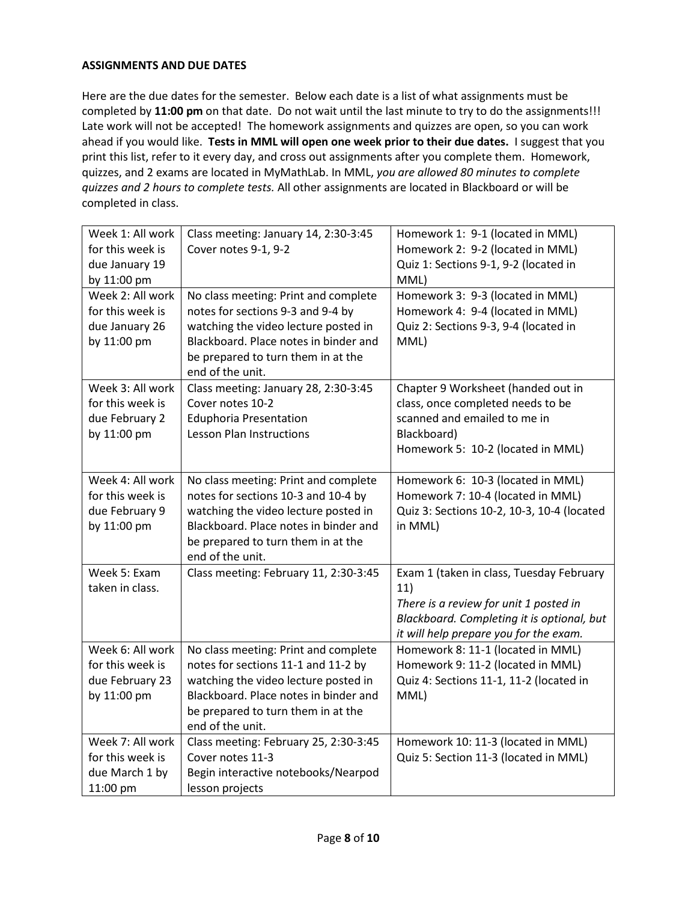## **ASSIGNMENTS AND DUE DATES**

Here are the due dates for the semester. Below each date is a list of what assignments must be completed by **11:00 pm** on that date. Do not wait until the last minute to try to do the assignments!!! Late work will not be accepted! The homework assignments and quizzes are open, so you can work ahead if you would like. **Tests in MML will open one week prior to their due dates.** I suggest that you print this list, refer to it every day, and cross out assignments after you complete them. Homework, quizzes, and 2 exams are located in MyMathLab. In MML, *you are allowed 80 minutes to complete quizzes and 2 hours to complete tests.* All other assignments are located in Blackboard or will be completed in class.

| Week 1: All work | Class meeting: January 14, 2:30-3:45  | Homework 1: 9-1 (located in MML)           |
|------------------|---------------------------------------|--------------------------------------------|
| for this week is | Cover notes 9-1, 9-2                  | Homework 2: 9-2 (located in MML)           |
| due January 19   |                                       | Quiz 1: Sections 9-1, 9-2 (located in      |
| by 11:00 pm      |                                       | MML)                                       |
| Week 2: All work | No class meeting: Print and complete  | Homework 3: 9-3 (located in MML)           |
| for this week is | notes for sections 9-3 and 9-4 by     | Homework 4: 9-4 (located in MML)           |
| due January 26   | watching the video lecture posted in  | Quiz 2: Sections 9-3, 9-4 (located in      |
| by 11:00 pm      | Blackboard. Place notes in binder and | MML)                                       |
|                  | be prepared to turn them in at the    |                                            |
|                  | end of the unit.                      |                                            |
| Week 3: All work | Class meeting: January 28, 2:30-3:45  | Chapter 9 Worksheet (handed out in         |
| for this week is | Cover notes 10-2                      | class, once completed needs to be          |
| due February 2   | <b>Eduphoria Presentation</b>         | scanned and emailed to me in               |
| by 11:00 pm      | Lesson Plan Instructions              | Blackboard)                                |
|                  |                                       | Homework 5: 10-2 (located in MML)          |
|                  |                                       |                                            |
| Week 4: All work | No class meeting: Print and complete  | Homework 6: 10-3 (located in MML)          |
| for this week is | notes for sections 10-3 and 10-4 by   | Homework 7: 10-4 (located in MML)          |
| due February 9   | watching the video lecture posted in  | Quiz 3: Sections 10-2, 10-3, 10-4 (located |
| by 11:00 pm      | Blackboard. Place notes in binder and | in MML)                                    |
|                  | be prepared to turn them in at the    |                                            |
|                  | end of the unit.                      |                                            |
| Week 5: Exam     | Class meeting: February 11, 2:30-3:45 | Exam 1 (taken in class, Tuesday February   |
| taken in class.  |                                       | 11)                                        |
|                  |                                       | There is a review for unit 1 posted in     |
|                  |                                       | Blackboard. Completing it is optional, but |
|                  |                                       | it will help prepare you for the exam.     |
| Week 6: All work | No class meeting: Print and complete  | Homework 8: 11-1 (located in MML)          |
| for this week is | notes for sections 11-1 and 11-2 by   | Homework 9: 11-2 (located in MML)          |
| due February 23  | watching the video lecture posted in  | Quiz 4: Sections 11-1, 11-2 (located in    |
| by 11:00 pm      | Blackboard. Place notes in binder and | MML)                                       |
|                  | be prepared to turn them in at the    |                                            |
|                  | end of the unit.                      |                                            |
| Week 7: All work | Class meeting: February 25, 2:30-3:45 | Homework 10: 11-3 (located in MML)         |
| for this week is | Cover notes 11-3                      | Quiz 5: Section 11-3 (located in MML)      |
| due March 1 by   | Begin interactive notebooks/Nearpod   |                                            |
| 11:00 pm         | lesson projects                       |                                            |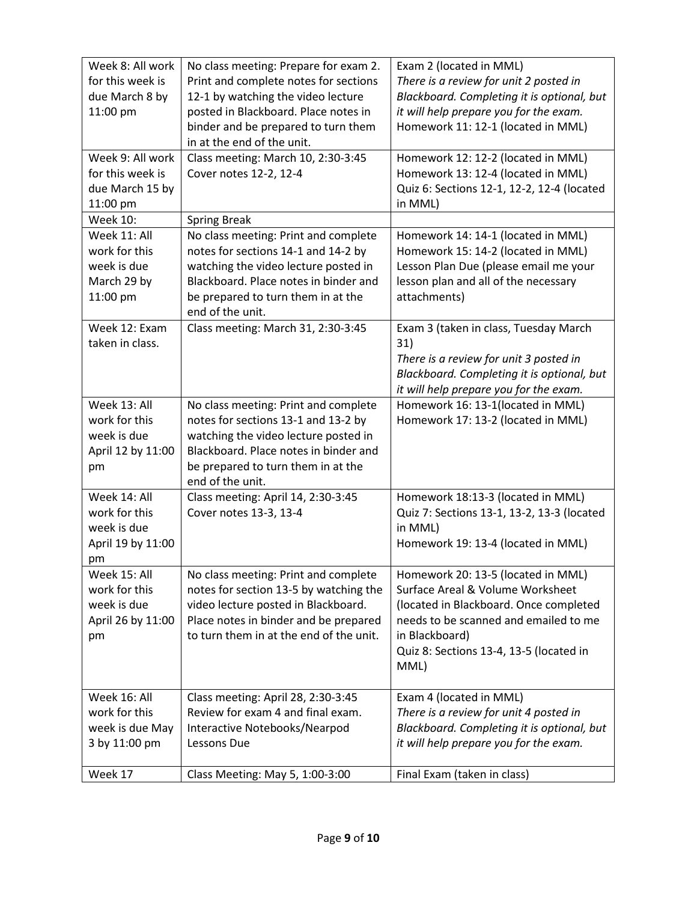| Week 8: All work  | No class meeting: Prepare for exam 2.   | Exam 2 (located in MML)                    |
|-------------------|-----------------------------------------|--------------------------------------------|
| for this week is  | Print and complete notes for sections   | There is a review for unit 2 posted in     |
| due March 8 by    | 12-1 by watching the video lecture      | Blackboard. Completing it is optional, but |
| 11:00 pm          | posted in Blackboard. Place notes in    | it will help prepare you for the exam.     |
|                   | binder and be prepared to turn them     | Homework 11: 12-1 (located in MML)         |
|                   | in at the end of the unit.              |                                            |
| Week 9: All work  | Class meeting: March 10, 2:30-3:45      | Homework 12: 12-2 (located in MML)         |
| for this week is  | Cover notes 12-2, 12-4                  | Homework 13: 12-4 (located in MML)         |
| due March 15 by   |                                         | Quiz 6: Sections 12-1, 12-2, 12-4 (located |
| 11:00 pm          |                                         | in MML)                                    |
| <b>Week 10:</b>   | <b>Spring Break</b>                     |                                            |
| Week 11: All      | No class meeting: Print and complete    | Homework 14: 14-1 (located in MML)         |
| work for this     | notes for sections 14-1 and 14-2 by     | Homework 15: 14-2 (located in MML)         |
| week is due       | watching the video lecture posted in    | Lesson Plan Due (please email me your      |
| March 29 by       | Blackboard. Place notes in binder and   | lesson plan and all of the necessary       |
| 11:00 pm          | be prepared to turn them in at the      | attachments)                               |
|                   | end of the unit.                        |                                            |
| Week 12: Exam     | Class meeting: March 31, 2:30-3:45      | Exam 3 (taken in class, Tuesday March      |
| taken in class.   |                                         | 31)                                        |
|                   |                                         | There is a review for unit 3 posted in     |
|                   |                                         | Blackboard. Completing it is optional, but |
|                   |                                         | it will help prepare you for the exam.     |
| Week 13: All      | No class meeting: Print and complete    | Homework 16: 13-1(located in MML)          |
| work for this     | notes for sections 13-1 and 13-2 by     | Homework 17: 13-2 (located in MML)         |
| week is due       | watching the video lecture posted in    |                                            |
| April 12 by 11:00 | Blackboard. Place notes in binder and   |                                            |
| pm                | be prepared to turn them in at the      |                                            |
|                   | end of the unit.                        |                                            |
| Week 14: All      | Class meeting: April 14, 2:30-3:45      | Homework 18:13-3 (located in MML)          |
| work for this     | Cover notes 13-3, 13-4                  | Quiz 7: Sections 13-1, 13-2, 13-3 (located |
| week is due       |                                         | in MML)                                    |
| April 19 by 11:00 |                                         | Homework 19: 13-4 (located in MML)         |
| pm                |                                         |                                            |
| Week 15: All      | No class meeting: Print and complete    | Homework 20: 13-5 (located in MML)         |
| work for this     | notes for section 13-5 by watching the  | Surface Areal & Volume Worksheet           |
| week is due       | video lecture posted in Blackboard.     | (located in Blackboard. Once completed     |
| April 26 by 11:00 | Place notes in binder and be prepared   | needs to be scanned and emailed to me      |
| pm                | to turn them in at the end of the unit. | in Blackboard)                             |
|                   |                                         | Quiz 8: Sections 13-4, 13-5 (located in    |
|                   |                                         | MML)                                       |
|                   |                                         |                                            |
| Week 16: All      | Class meeting: April 28, 2:30-3:45      | Exam 4 (located in MML)                    |
| work for this     | Review for exam 4 and final exam.       | There is a review for unit 4 posted in     |
| week is due May   | Interactive Notebooks/Nearpod           | Blackboard. Completing it is optional, but |
| 3 by 11:00 pm     | Lessons Due                             | it will help prepare you for the exam.     |
|                   |                                         |                                            |
| Week 17           | Class Meeting: May 5, 1:00-3:00         | Final Exam (taken in class)                |